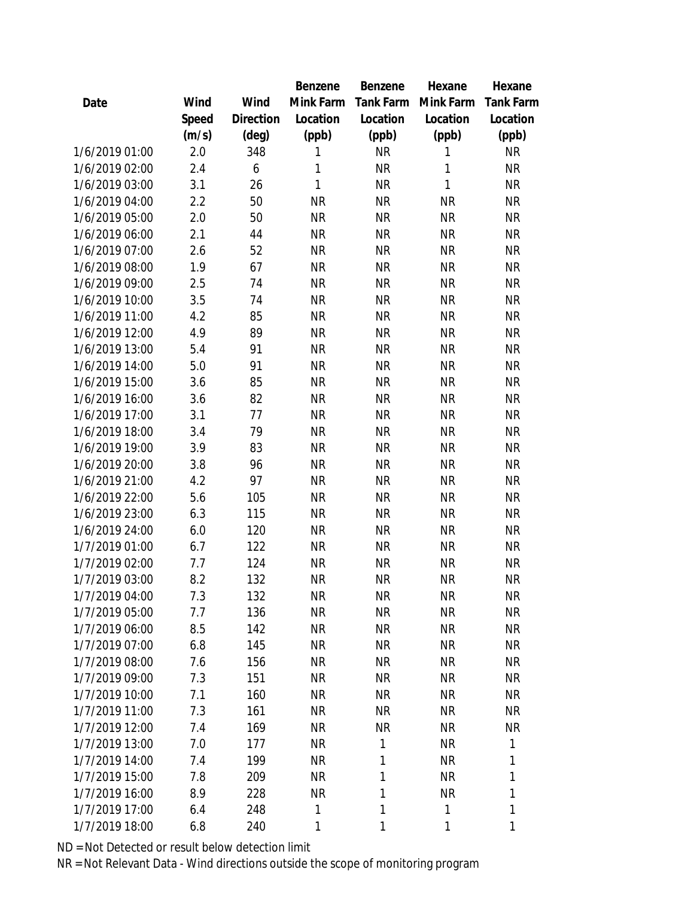|                |       |                | Benzene      | Benzene   | Hexane    | Hexane    |
|----------------|-------|----------------|--------------|-----------|-----------|-----------|
| Date           | Wind  | Wind           | Mink Farm    | Tank Farm | Mink Farm | Tank Farm |
|                | Speed | Direction      | Location     | Location  | Location  | Location  |
|                | (m/s) | $(\text{deg})$ | (ppb)        | (ppb)     | (ppb)     | (ppb)     |
| 1/6/2019 01:00 | 2.0   | 348            | 1            | <b>NR</b> | 1         | <b>NR</b> |
| 1/6/2019 02:00 | 2.4   | 6              | 1            | <b>NR</b> | 1         | <b>NR</b> |
| 1/6/2019 03:00 | 3.1   | 26             | $\mathbf{1}$ | <b>NR</b> | 1         | <b>NR</b> |
| 1/6/2019 04:00 | 2.2   | 50             | <b>NR</b>    | <b>NR</b> | <b>NR</b> | <b>NR</b> |
| 1/6/2019 05:00 | 2.0   | 50             | <b>NR</b>    | <b>NR</b> | <b>NR</b> | <b>NR</b> |
| 1/6/2019 06:00 | 2.1   | 44             | <b>NR</b>    | <b>NR</b> | <b>NR</b> | <b>NR</b> |
| 1/6/2019 07:00 | 2.6   | 52             | <b>NR</b>    | <b>NR</b> | <b>NR</b> | <b>NR</b> |
| 1/6/2019 08:00 | 1.9   | 67             | <b>NR</b>    | <b>NR</b> | <b>NR</b> | <b>NR</b> |
| 1/6/2019 09:00 | 2.5   | 74             | <b>NR</b>    | <b>NR</b> | <b>NR</b> | <b>NR</b> |
| 1/6/2019 10:00 | 3.5   | 74             | <b>NR</b>    | <b>NR</b> | <b>NR</b> | <b>NR</b> |
| 1/6/2019 11:00 | 4.2   | 85             | <b>NR</b>    | <b>NR</b> | <b>NR</b> | <b>NR</b> |
| 1/6/2019 12:00 | 4.9   | 89             | <b>NR</b>    | <b>NR</b> | <b>NR</b> | <b>NR</b> |
| 1/6/2019 13:00 | 5.4   | 91             | <b>NR</b>    | <b>NR</b> | <b>NR</b> | <b>NR</b> |
| 1/6/2019 14:00 | 5.0   | 91             | <b>NR</b>    | <b>NR</b> | <b>NR</b> | <b>NR</b> |
| 1/6/2019 15:00 | 3.6   | 85             | <b>NR</b>    | <b>NR</b> | <b>NR</b> | <b>NR</b> |
| 1/6/2019 16:00 | 3.6   | 82             | <b>NR</b>    | <b>NR</b> | <b>NR</b> | <b>NR</b> |
| 1/6/2019 17:00 | 3.1   | 77             | <b>NR</b>    | <b>NR</b> | <b>NR</b> | <b>NR</b> |
| 1/6/2019 18:00 | 3.4   | 79             | <b>NR</b>    | <b>NR</b> | <b>NR</b> | <b>NR</b> |
| 1/6/2019 19:00 | 3.9   | 83             | <b>NR</b>    | <b>NR</b> | <b>NR</b> | <b>NR</b> |
| 1/6/2019 20:00 | 3.8   | 96             | <b>NR</b>    | <b>NR</b> | <b>NR</b> | <b>NR</b> |
| 1/6/2019 21:00 | 4.2   | 97             | <b>NR</b>    | <b>NR</b> | <b>NR</b> | <b>NR</b> |
| 1/6/2019 22:00 | 5.6   | 105            | <b>NR</b>    | <b>NR</b> | <b>NR</b> | <b>NR</b> |
| 1/6/2019 23:00 | 6.3   | 115            | <b>NR</b>    | <b>NR</b> | <b>NR</b> | <b>NR</b> |
| 1/6/2019 24:00 | 6.0   | 120            | <b>NR</b>    | <b>NR</b> | <b>NR</b> | <b>NR</b> |
| 1/7/2019 01:00 | 6.7   | 122            | <b>NR</b>    | <b>NR</b> | <b>NR</b> | <b>NR</b> |
| 1/7/2019 02:00 | 7.7   | 124            | <b>NR</b>    | <b>NR</b> | <b>NR</b> | <b>NR</b> |
| 1/7/2019 03:00 | 8.2   | 132            | <b>NR</b>    | <b>NR</b> | <b>NR</b> | NR        |
| 1/7/2019 04:00 | 7.3   | 132            | <b>NR</b>    | NR        | <b>NR</b> | NR        |
| 1/7/2019 05:00 | 7.7   | 136            | <b>NR</b>    | <b>NR</b> | <b>NR</b> | <b>NR</b> |
| 1/7/2019 06:00 | 8.5   | 142            | <b>NR</b>    | <b>NR</b> | <b>NR</b> | <b>NR</b> |
| 1/7/2019 07:00 | 6.8   | 145            | <b>NR</b>    | <b>NR</b> | <b>NR</b> | <b>NR</b> |
| 1/7/2019 08:00 | 7.6   | 156            | <b>NR</b>    | <b>NR</b> | <b>NR</b> | <b>NR</b> |
| 1/7/2019 09:00 | 7.3   | 151            | <b>NR</b>    | <b>NR</b> | <b>NR</b> | <b>NR</b> |
| 1/7/2019 10:00 | 7.1   | 160            | <b>NR</b>    | <b>NR</b> | <b>NR</b> | <b>NR</b> |
| 1/7/2019 11:00 | 7.3   | 161            | <b>NR</b>    | <b>NR</b> | <b>NR</b> | <b>NR</b> |
| 1/7/2019 12:00 | 7.4   | 169            | <b>NR</b>    | <b>NR</b> | <b>NR</b> | <b>NR</b> |
| 1/7/2019 13:00 | 7.0   | 177            | <b>NR</b>    | 1         | <b>NR</b> | 1         |
| 1/7/2019 14:00 | 7.4   | 199            | <b>NR</b>    | 1         | <b>NR</b> | 1         |
| 1/7/2019 15:00 | 7.8   | 209            | <b>NR</b>    | 1         | <b>NR</b> | 1         |
| 1/7/2019 16:00 | 8.9   | 228            | <b>NR</b>    | 1         | <b>NR</b> | 1         |
| 1/7/2019 17:00 | 6.4   | 248            | 1            | 1         | 1         | 1         |
| 1/7/2019 18:00 | 6.8   | 240            | 1            | 1         | 1         | 1         |
|                |       |                |              |           |           |           |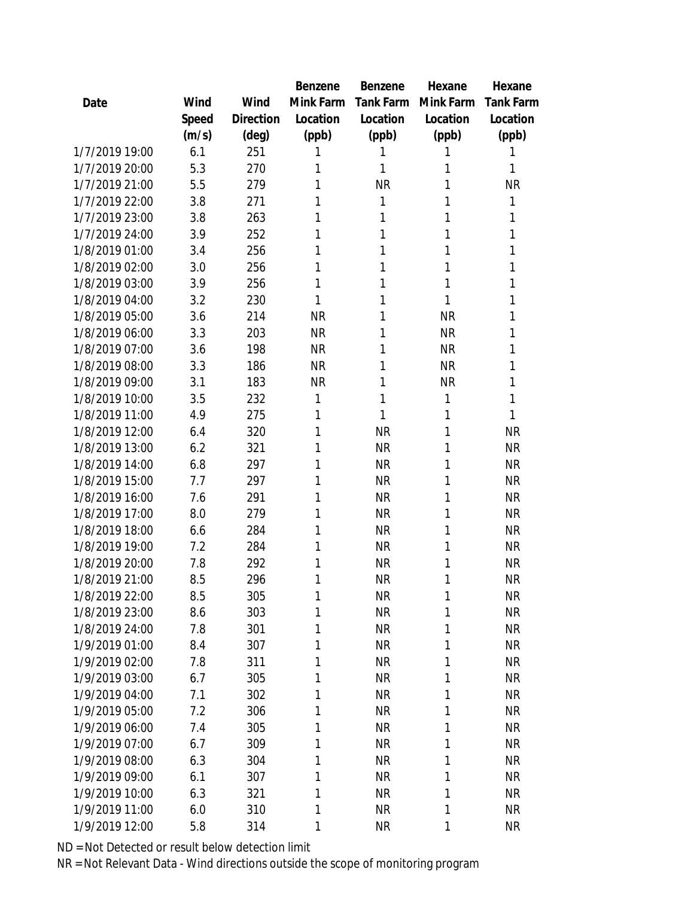|                |       |           | Benzene   | Benzene   | Hexane    | Hexane    |
|----------------|-------|-----------|-----------|-----------|-----------|-----------|
| Date           | Wind  | Wind      | Mink Farm | Tank Farm | Mink Farm | Tank Farm |
|                | Speed | Direction | Location  | Location  | Location  | Location  |
|                | (m/s) | (deg)     | (ppb)     | (ppb)     | (ppb)     | (ppb)     |
| 1/7/2019 19:00 | 6.1   | 251       | 1         | 1         | 1         | 1         |
| 1/7/2019 20:00 | 5.3   | 270       | 1         | 1         | 1         | 1         |
| 1/7/2019 21:00 | 5.5   | 279       | 1         | <b>NR</b> | 1         | <b>NR</b> |
| 1/7/2019 22:00 | 3.8   | 271       | 1         | 1         | 1         | 1         |
| 1/7/2019 23:00 | 3.8   | 263       | 1         | 1         | 1         | 1         |
| 1/7/2019 24:00 | 3.9   | 252       | 1         | 1         | 1         | 1         |
| 1/8/2019 01:00 | 3.4   | 256       | 1         | 1         | 1         | 1         |
| 1/8/2019 02:00 | 3.0   | 256       | 1         | 1         | 1         | 1         |
| 1/8/2019 03:00 | 3.9   | 256       | 1         | 1         | 1         | 1         |
| 1/8/2019 04:00 | 3.2   | 230       | 1         | 1         | 1         | 1         |
| 1/8/2019 05:00 | 3.6   | 214       | <b>NR</b> | 1         | <b>NR</b> | 1         |
| 1/8/2019 06:00 | 3.3   | 203       | <b>NR</b> | 1         | <b>NR</b> | 1         |
| 1/8/2019 07:00 | 3.6   | 198       | <b>NR</b> | 1         | <b>NR</b> | 1         |
| 1/8/2019 08:00 | 3.3   | 186       | <b>NR</b> | 1         | <b>NR</b> | 1         |
| 1/8/2019 09:00 | 3.1   | 183       | <b>NR</b> | 1         | <b>NR</b> | 1         |
| 1/8/2019 10:00 | 3.5   | 232       | 1         | 1         | 1         | 1         |
| 1/8/2019 11:00 | 4.9   | 275       | 1         | 1         | 1         | 1         |
| 1/8/2019 12:00 | 6.4   | 320       | 1         | <b>NR</b> | 1         | <b>NR</b> |
| 1/8/2019 13:00 | 6.2   | 321       | 1         | <b>NR</b> | 1         | <b>NR</b> |
| 1/8/2019 14:00 | 6.8   | 297       | 1         | <b>NR</b> | 1         | <b>NR</b> |
| 1/8/2019 15:00 | 7.7   | 297       | 1         | <b>NR</b> | 1         | <b>NR</b> |
| 1/8/2019 16:00 | 7.6   | 291       | 1         | <b>NR</b> | 1         | <b>NR</b> |
| 1/8/2019 17:00 | 8.0   | 279       | 1         | <b>NR</b> | 1         | <b>NR</b> |
| 1/8/2019 18:00 | 6.6   | 284       | 1         | <b>NR</b> | 1         | <b>NR</b> |
| 1/8/2019 19:00 | 7.2   | 284       | 1         | <b>NR</b> | 1         | <b>NR</b> |
| 1/8/2019 20:00 | 7.8   | 292       | 1         | <b>NR</b> | 1         | <b>NR</b> |
| 1/8/2019 21:00 | 8.5   | 296       | 1         | <b>NR</b> | 1         | <b>NR</b> |
| 1/8/2019 22:00 | 8.5   | 305       | 1         | <b>NR</b> | 1         | <b>NR</b> |
| 1/8/2019 23:00 | 8.6   | 303       | 1         | <b>NR</b> | 1         | <b>NR</b> |
| 1/8/2019 24:00 | 7.8   | 301       | 1         | <b>NR</b> | 1         | <b>NR</b> |
| 1/9/2019 01:00 | 8.4   | 307       | 1         | <b>NR</b> | 1         | <b>NR</b> |
| 1/9/2019 02:00 | 7.8   | 311       | 1         | <b>NR</b> | 1         | <b>NR</b> |
| 1/9/2019 03:00 | 6.7   | 305       | 1         | <b>NR</b> | 1         | <b>NR</b> |
| 1/9/2019 04:00 | 7.1   | 302       | 1         | <b>NR</b> | 1         | <b>NR</b> |
| 1/9/2019 05:00 | 7.2   | 306       | 1         | <b>NR</b> | 1         | <b>NR</b> |
| 1/9/2019 06:00 | 7.4   | 305       | 1         | <b>NR</b> | 1         | <b>NR</b> |
| 1/9/2019 07:00 | 6.7   | 309       | 1         | <b>NR</b> | 1         | <b>NR</b> |
| 1/9/2019 08:00 | 6.3   | 304       | 1         | <b>NR</b> | 1         | <b>NR</b> |
| 1/9/2019 09:00 | 6.1   | 307       | 1         | <b>NR</b> | 1         | <b>NR</b> |
| 1/9/2019 10:00 | 6.3   | 321       | 1         | <b>NR</b> | 1         | <b>NR</b> |
| 1/9/2019 11:00 | 6.0   | 310       | 1         | <b>NR</b> | 1         | <b>NR</b> |
| 1/9/2019 12:00 | 5.8   | 314       | 1         | <b>NR</b> | 1         | <b>NR</b> |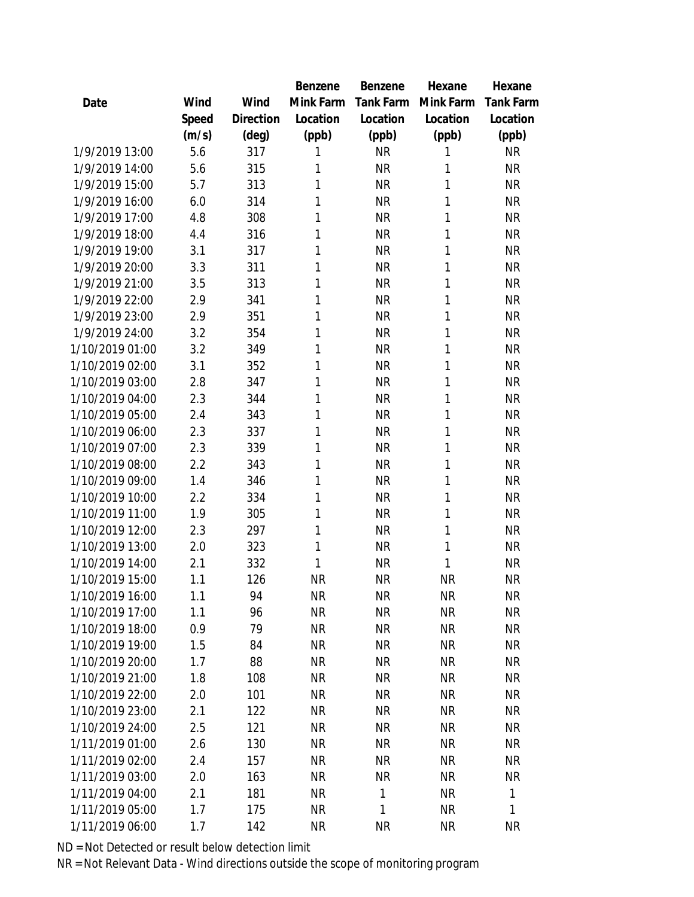|                 |       |           | Benzene   | Benzene   | Hexane    | Hexane    |
|-----------------|-------|-----------|-----------|-----------|-----------|-----------|
| Date            | Wind  | Wind      | Mink Farm | Tank Farm | Mink Farm | Tank Farm |
|                 | Speed | Direction | Location  | Location  | Location  | Location  |
|                 | (m/s) | (deg)     | (ppb)     | (ppb)     | (ppb)     | (ppb)     |
| 1/9/2019 13:00  | 5.6   | 317       | 1         | <b>NR</b> | 1         | <b>NR</b> |
| 1/9/2019 14:00  | 5.6   | 315       | 1         | <b>NR</b> | 1         | <b>NR</b> |
| 1/9/2019 15:00  | 5.7   | 313       | 1         | <b>NR</b> | 1         | <b>NR</b> |
| 1/9/2019 16:00  | 6.0   | 314       | 1         | <b>NR</b> | 1         | <b>NR</b> |
| 1/9/2019 17:00  | 4.8   | 308       | 1         | <b>NR</b> | 1         | <b>NR</b> |
| 1/9/2019 18:00  | 4.4   | 316       | 1         | <b>NR</b> | 1         | <b>NR</b> |
| 1/9/2019 19:00  | 3.1   | 317       | 1         | <b>NR</b> | 1         | <b>NR</b> |
| 1/9/2019 20:00  | 3.3   | 311       | 1         | <b>NR</b> | 1         | <b>NR</b> |
| 1/9/2019 21:00  | 3.5   | 313       | 1         | <b>NR</b> | 1         | <b>NR</b> |
| 1/9/2019 22:00  | 2.9   | 341       | 1         | <b>NR</b> | 1         | <b>NR</b> |
| 1/9/2019 23:00  | 2.9   | 351       | 1         | <b>NR</b> | 1         | <b>NR</b> |
| 1/9/2019 24:00  | 3.2   | 354       | 1         | <b>NR</b> | 1         | <b>NR</b> |
| 1/10/2019 01:00 | 3.2   | 349       | 1         | <b>NR</b> | 1         | <b>NR</b> |
| 1/10/2019 02:00 | 3.1   | 352       | 1         | <b>NR</b> | 1         | <b>NR</b> |
| 1/10/2019 03:00 | 2.8   | 347       | 1         | <b>NR</b> | 1         | <b>NR</b> |
| 1/10/2019 04:00 | 2.3   | 344       | 1         | <b>NR</b> | 1         | <b>NR</b> |
| 1/10/2019 05:00 | 2.4   | 343       | 1         | <b>NR</b> | 1         | <b>NR</b> |
| 1/10/2019 06:00 | 2.3   | 337       | 1         | <b>NR</b> | 1         | <b>NR</b> |
| 1/10/2019 07:00 | 2.3   | 339       | 1         | <b>NR</b> | 1         | <b>NR</b> |
| 1/10/2019 08:00 | 2.2   | 343       | 1         | <b>NR</b> | 1         | ΝR        |
| 1/10/2019 09:00 | 1.4   | 346       | 1         | <b>NR</b> | 1         | <b>NR</b> |
| 1/10/2019 10:00 | 2.2   | 334       | 1         | <b>NR</b> | 1         | <b>NR</b> |
| 1/10/2019 11:00 | 1.9   | 305       | 1         | <b>NR</b> | 1         | <b>NR</b> |
| 1/10/2019 12:00 | 2.3   | 297       | 1         | <b>NR</b> | 1         | <b>NR</b> |
| 1/10/2019 13:00 | 2.0   | 323       | 1         | <b>NR</b> | 1         | <b>NR</b> |
| 1/10/2019 14:00 | 2.1   | 332       | 1         | <b>NR</b> | 1         | <b>NR</b> |
| 1/10/2019 15:00 | 1.1   | 126       | <b>NR</b> | <b>NR</b> | <b>NR</b> | <b>NR</b> |
| 1/10/2019 16:00 | 1.1   | 94        | <b>NR</b> | <b>NR</b> | <b>NR</b> | <b>NR</b> |
| 1/10/2019 17:00 | 1.1   | 96        | <b>NR</b> | <b>NR</b> | <b>NR</b> | <b>NR</b> |
| 1/10/2019 18:00 | 0.9   | 79        | <b>NR</b> | <b>NR</b> | <b>NR</b> | <b>NR</b> |
| 1/10/2019 19:00 | 1.5   | 84        | <b>NR</b> | <b>NR</b> | <b>NR</b> | <b>NR</b> |
| 1/10/2019 20:00 | 1.7   | 88        | <b>NR</b> | NR        | <b>NR</b> | <b>NR</b> |
| 1/10/2019 21:00 | 1.8   | 108       | <b>NR</b> | NR        | <b>NR</b> | <b>NR</b> |
| 1/10/2019 22:00 | 2.0   | 101       | <b>NR</b> | <b>NR</b> | <b>NR</b> | <b>NR</b> |
| 1/10/2019 23:00 | 2.1   | 122       | <b>NR</b> | NR        | <b>NR</b> | <b>NR</b> |
| 1/10/2019 24:00 | 2.5   | 121       | <b>NR</b> | <b>NR</b> | <b>NR</b> | <b>NR</b> |
| 1/11/2019 01:00 | 2.6   | 130       | <b>NR</b> | <b>NR</b> | <b>NR</b> | <b>NR</b> |
| 1/11/2019 02:00 | 2.4   | 157       | <b>NR</b> | <b>NR</b> | <b>NR</b> | <b>NR</b> |
| 1/11/2019 03:00 | 2.0   | 163       | <b>NR</b> | <b>NR</b> | <b>NR</b> | NR        |
| 1/11/2019 04:00 | 2.1   | 181       | NR.       | 1         | <b>NR</b> | 1         |
| 1/11/2019 05:00 | 1.7   | 175       | <b>NR</b> | 1         | <b>NR</b> | 1         |
| 1/11/2019 06:00 | 1.7   | 142       | <b>NR</b> | <b>NR</b> | <b>NR</b> | <b>NR</b> |
|                 |       |           |           |           |           |           |